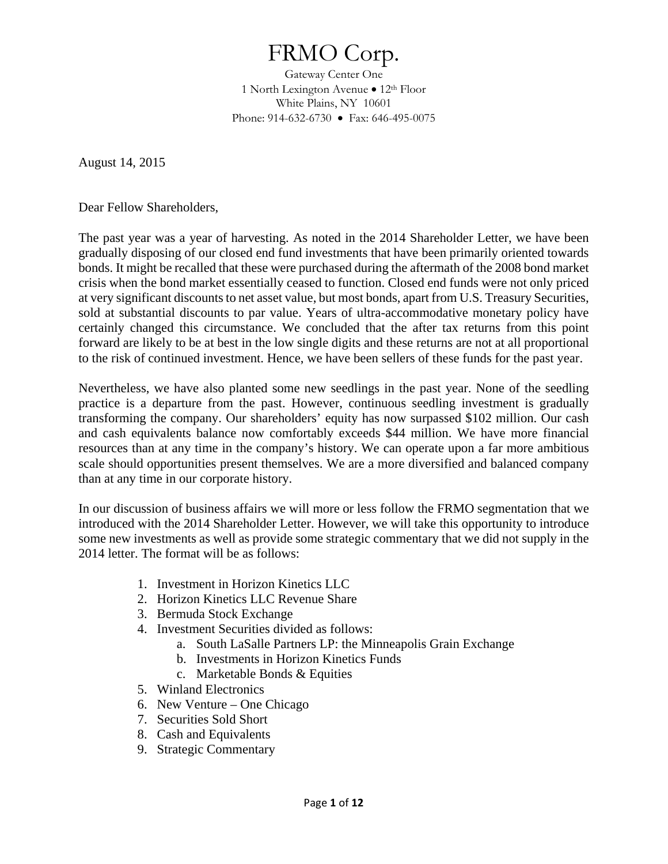# FRMO Corp.

Gateway Center One 1 North Lexington Avenue  $\bullet$  12<sup>th</sup> Floor White Plains, NY 10601 Phone: 914-632-6730 • Fax: 646-495-0075

August 14, 2015

Dear Fellow Shareholders,

The past year was a year of harvesting. As noted in the 2014 Shareholder Letter, we have been gradually disposing of our closed end fund investments that have been primarily oriented towards bonds. It might be recalled that these were purchased during the aftermath of the 2008 bond market crisis when the bond market essentially ceased to function. Closed end funds were not only priced at very significant discounts to net asset value, but most bonds, apart from U.S. Treasury Securities, sold at substantial discounts to par value. Years of ultra-accommodative monetary policy have certainly changed this circumstance. We concluded that the after tax returns from this point forward are likely to be at best in the low single digits and these returns are not at all proportional to the risk of continued investment. Hence, we have been sellers of these funds for the past year.

Nevertheless, we have also planted some new seedlings in the past year. None of the seedling practice is a departure from the past. However, continuous seedling investment is gradually transforming the company. Our shareholders' equity has now surpassed \$102 million. Our cash and cash equivalents balance now comfortably exceeds \$44 million. We have more financial resources than at any time in the company's history. We can operate upon a far more ambitious scale should opportunities present themselves. We are a more diversified and balanced company than at any time in our corporate history.

In our discussion of business affairs we will more or less follow the FRMO segmentation that we introduced with the 2014 Shareholder Letter. However, we will take this opportunity to introduce some new investments as well as provide some strategic commentary that we did not supply in the 2014 letter. The format will be as follows:

- 1. Investment in Horizon Kinetics LLC
- 2. Horizon Kinetics LLC Revenue Share
- 3. Bermuda Stock Exchange
- 4. Investment Securities divided as follows:
	- a. South LaSalle Partners LP: the Minneapolis Grain Exchange
	- b. Investments in Horizon Kinetics Funds
	- c. Marketable Bonds & Equities
- 5. Winland Electronics
- 6. New Venture One Chicago
- 7. Securities Sold Short
- 8. Cash and Equivalents
- 9. Strategic Commentary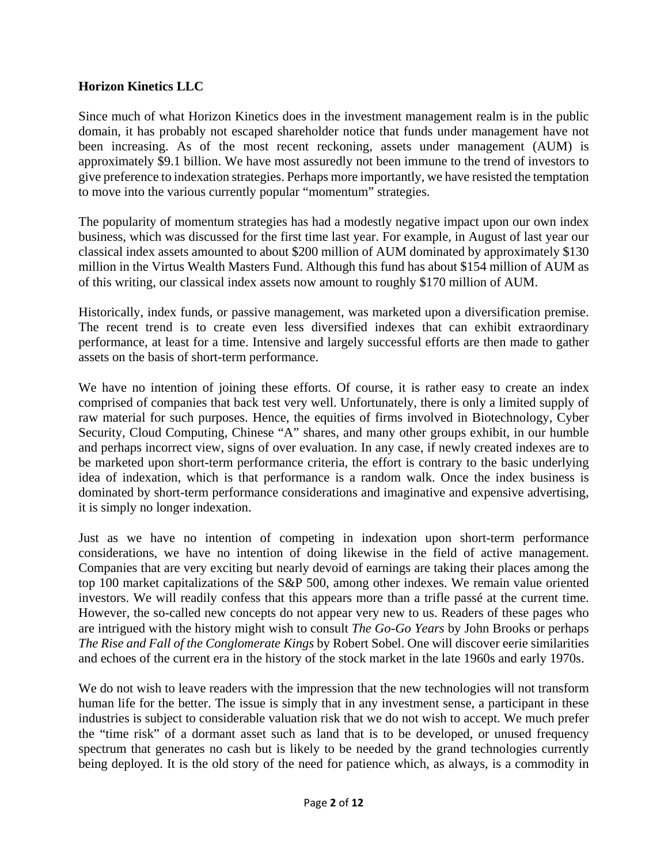## **Horizon Kinetics LLC**

Since much of what Horizon Kinetics does in the investment management realm is in the public domain, it has probably not escaped shareholder notice that funds under management have not been increasing. As of the most recent reckoning, assets under management (AUM) is approximately \$9.1 billion. We have most assuredly not been immune to the trend of investors to give preference to indexation strategies. Perhaps more importantly, we have resisted the temptation to move into the various currently popular "momentum" strategies.

The popularity of momentum strategies has had a modestly negative impact upon our own index business, which was discussed for the first time last year. For example, in August of last year our classical index assets amounted to about \$200 million of AUM dominated by approximately \$130 million in the Virtus Wealth Masters Fund. Although this fund has about \$154 million of AUM as of this writing, our classical index assets now amount to roughly \$170 million of AUM.

Historically, index funds, or passive management, was marketed upon a diversification premise. The recent trend is to create even less diversified indexes that can exhibit extraordinary performance, at least for a time. Intensive and largely successful efforts are then made to gather assets on the basis of short-term performance.

We have no intention of joining these efforts. Of course, it is rather easy to create an index comprised of companies that back test very well. Unfortunately, there is only a limited supply of raw material for such purposes. Hence, the equities of firms involved in Biotechnology, Cyber Security, Cloud Computing, Chinese "A" shares, and many other groups exhibit, in our humble and perhaps incorrect view, signs of over evaluation. In any case, if newly created indexes are to be marketed upon short-term performance criteria, the effort is contrary to the basic underlying idea of indexation, which is that performance is a random walk. Once the index business is dominated by short-term performance considerations and imaginative and expensive advertising, it is simply no longer indexation.

Just as we have no intention of competing in indexation upon short-term performance considerations, we have no intention of doing likewise in the field of active management. Companies that are very exciting but nearly devoid of earnings are taking their places among the top 100 market capitalizations of the S&P 500, among other indexes. We remain value oriented investors. We will readily confess that this appears more than a trifle passé at the current time. However, the so-called new concepts do not appear very new to us. Readers of these pages who are intrigued with the history might wish to consult *The Go-Go Years* by John Brooks or perhaps *The Rise and Fall of the Conglomerate Kings* by Robert Sobel. One will discover eerie similarities and echoes of the current era in the history of the stock market in the late 1960s and early 1970s.

We do not wish to leave readers with the impression that the new technologies will not transform human life for the better. The issue is simply that in any investment sense, a participant in these industries is subject to considerable valuation risk that we do not wish to accept. We much prefer the "time risk" of a dormant asset such as land that is to be developed, or unused frequency spectrum that generates no cash but is likely to be needed by the grand technologies currently being deployed. It is the old story of the need for patience which, as always, is a commodity in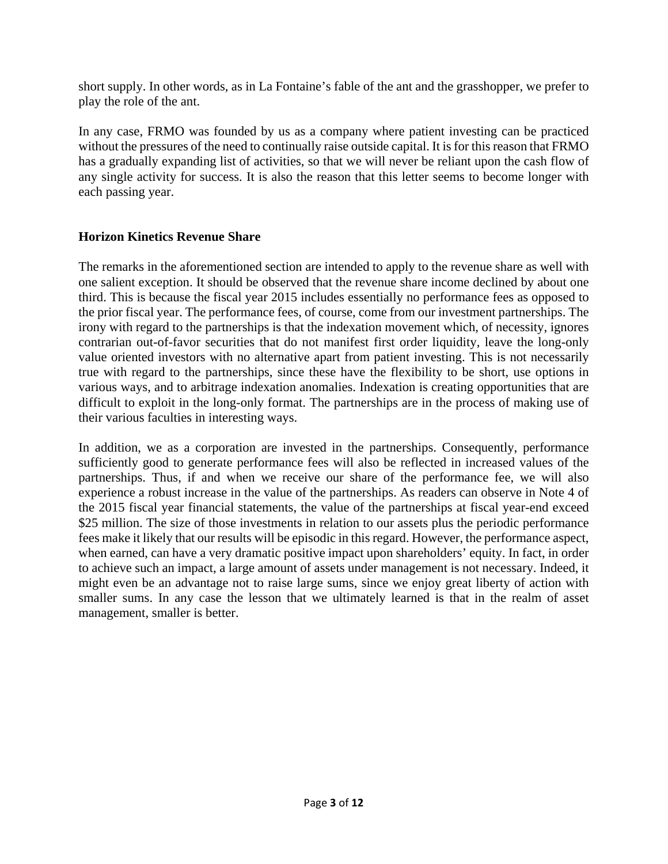short supply. In other words, as in La Fontaine's fable of the ant and the grasshopper, we prefer to play the role of the ant.

In any case, FRMO was founded by us as a company where patient investing can be practiced without the pressures of the need to continually raise outside capital. It is for this reason that FRMO has a gradually expanding list of activities, so that we will never be reliant upon the cash flow of any single activity for success. It is also the reason that this letter seems to become longer with each passing year.

## **Horizon Kinetics Revenue Share**

The remarks in the aforementioned section are intended to apply to the revenue share as well with one salient exception. It should be observed that the revenue share income declined by about one third. This is because the fiscal year 2015 includes essentially no performance fees as opposed to the prior fiscal year. The performance fees, of course, come from our investment partnerships. The irony with regard to the partnerships is that the indexation movement which, of necessity, ignores contrarian out-of-favor securities that do not manifest first order liquidity, leave the long-only value oriented investors with no alternative apart from patient investing. This is not necessarily true with regard to the partnerships, since these have the flexibility to be short, use options in various ways, and to arbitrage indexation anomalies. Indexation is creating opportunities that are difficult to exploit in the long-only format. The partnerships are in the process of making use of their various faculties in interesting ways.

In addition, we as a corporation are invested in the partnerships. Consequently, performance sufficiently good to generate performance fees will also be reflected in increased values of the partnerships. Thus, if and when we receive our share of the performance fee, we will also experience a robust increase in the value of the partnerships. As readers can observe in Note 4 of the 2015 fiscal year financial statements, the value of the partnerships at fiscal year-end exceed \$25 million. The size of those investments in relation to our assets plus the periodic performance fees make it likely that our results will be episodic in this regard. However, the performance aspect, when earned, can have a very dramatic positive impact upon shareholders' equity. In fact, in order to achieve such an impact, a large amount of assets under management is not necessary. Indeed, it might even be an advantage not to raise large sums, since we enjoy great liberty of action with smaller sums. In any case the lesson that we ultimately learned is that in the realm of asset management, smaller is better.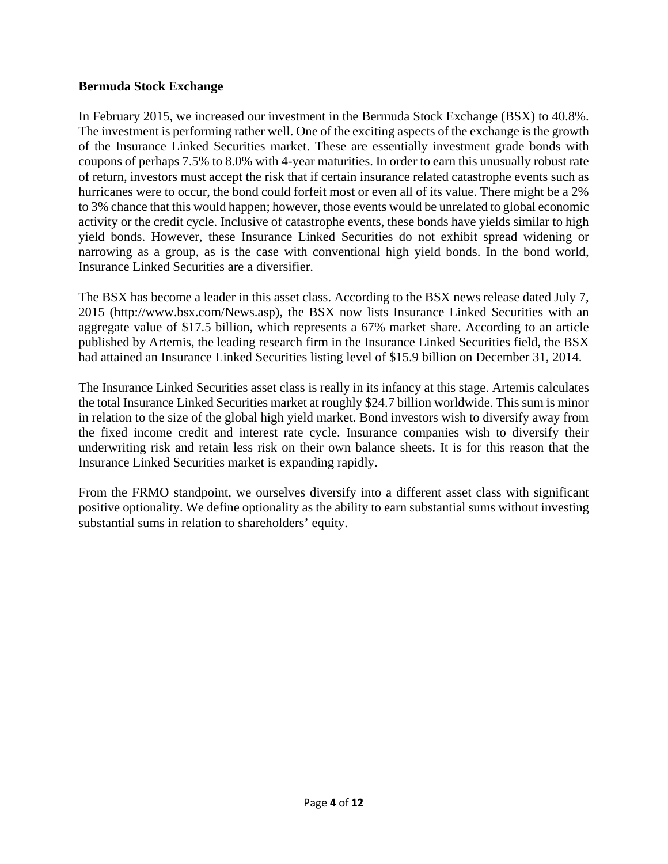## **Bermuda Stock Exchange**

In February 2015, we increased our investment in the Bermuda Stock Exchange (BSX) to 40.8%. The investment is performing rather well. One of the exciting aspects of the exchange is the growth of the Insurance Linked Securities market. These are essentially investment grade bonds with coupons of perhaps 7.5% to 8.0% with 4-year maturities. In order to earn this unusually robust rate of return, investors must accept the risk that if certain insurance related catastrophe events such as hurricanes were to occur, the bond could forfeit most or even all of its value. There might be a 2% to 3% chance that this would happen; however, those events would be unrelated to global economic activity or the credit cycle. Inclusive of catastrophe events, these bonds have yields similar to high yield bonds. However, these Insurance Linked Securities do not exhibit spread widening or narrowing as a group, as is the case with conventional high yield bonds. In the bond world, Insurance Linked Securities are a diversifier.

The BSX has become a leader in this asset class. According to the BSX news release dated July 7, 2015 (http://www.bsx.com/News.asp), the BSX now lists Insurance Linked Securities with an aggregate value of \$17.5 billion, which represents a 67% market share. According to an article published by Artemis, the leading research firm in the Insurance Linked Securities field, the BSX had attained an Insurance Linked Securities listing level of \$15.9 billion on December 31, 2014.

The Insurance Linked Securities asset class is really in its infancy at this stage. Artemis calculates the total Insurance Linked Securities market at roughly \$24.7 billion worldwide. This sum is minor in relation to the size of the global high yield market. Bond investors wish to diversify away from the fixed income credit and interest rate cycle. Insurance companies wish to diversify their underwriting risk and retain less risk on their own balance sheets. It is for this reason that the Insurance Linked Securities market is expanding rapidly.

From the FRMO standpoint, we ourselves diversify into a different asset class with significant positive optionality. We define optionality as the ability to earn substantial sums without investing substantial sums in relation to shareholders' equity.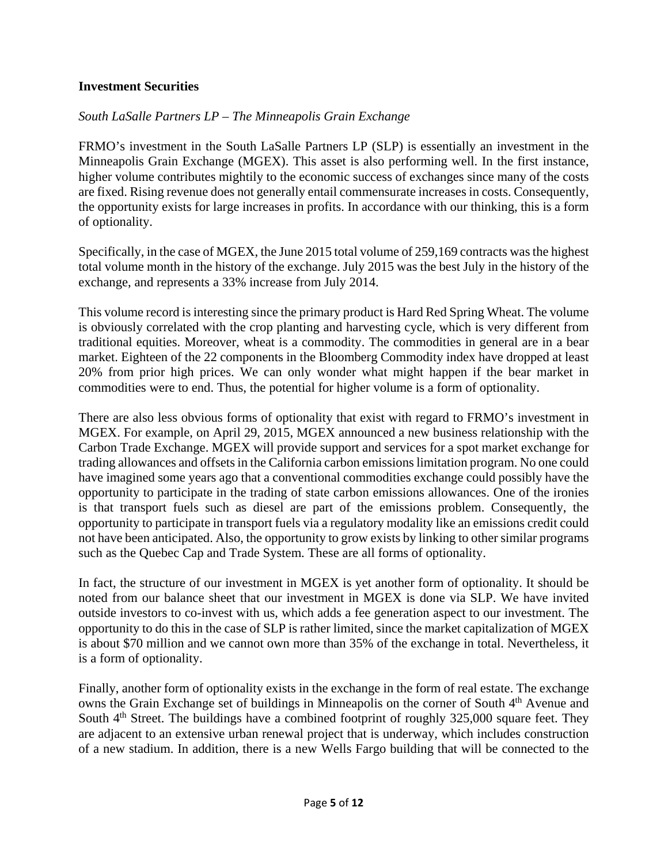## **Investment Securities**

## *South LaSalle Partners LP – The Minneapolis Grain Exchange*

FRMO's investment in the South LaSalle Partners LP (SLP) is essentially an investment in the Minneapolis Grain Exchange (MGEX). This asset is also performing well. In the first instance, higher volume contributes mightily to the economic success of exchanges since many of the costs are fixed. Rising revenue does not generally entail commensurate increases in costs. Consequently, the opportunity exists for large increases in profits. In accordance with our thinking, this is a form of optionality.

Specifically, in the case of MGEX, the June 2015 total volume of 259,169 contracts was the highest total volume month in the history of the exchange. July 2015 was the best July in the history of the exchange, and represents a 33% increase from July 2014.

This volume record is interesting since the primary product is Hard Red Spring Wheat. The volume is obviously correlated with the crop planting and harvesting cycle, which is very different from traditional equities. Moreover, wheat is a commodity. The commodities in general are in a bear market. Eighteen of the 22 components in the Bloomberg Commodity index have dropped at least 20% from prior high prices. We can only wonder what might happen if the bear market in commodities were to end. Thus, the potential for higher volume is a form of optionality.

There are also less obvious forms of optionality that exist with regard to FRMO's investment in MGEX. For example, on April 29, 2015, MGEX announced a new business relationship with the Carbon Trade Exchange. MGEX will provide support and services for a spot market exchange for trading allowances and offsets in the California carbon emissions limitation program. No one could have imagined some years ago that a conventional commodities exchange could possibly have the opportunity to participate in the trading of state carbon emissions allowances. One of the ironies is that transport fuels such as diesel are part of the emissions problem. Consequently, the opportunity to participate in transport fuels via a regulatory modality like an emissions credit could not have been anticipated. Also, the opportunity to grow exists by linking to other similar programs such as the Quebec Cap and Trade System. These are all forms of optionality.

In fact, the structure of our investment in MGEX is yet another form of optionality. It should be noted from our balance sheet that our investment in MGEX is done via SLP. We have invited outside investors to co-invest with us, which adds a fee generation aspect to our investment. The opportunity to do this in the case of SLP is rather limited, since the market capitalization of MGEX is about \$70 million and we cannot own more than 35% of the exchange in total. Nevertheless, it is a form of optionality.

Finally, another form of optionality exists in the exchange in the form of real estate. The exchange owns the Grain Exchange set of buildings in Minneapolis on the corner of South 4<sup>th</sup> Avenue and South  $4<sup>th</sup>$  Street. The buildings have a combined footprint of roughly 325,000 square feet. They are adjacent to an extensive urban renewal project that is underway, which includes construction of a new stadium. In addition, there is a new Wells Fargo building that will be connected to the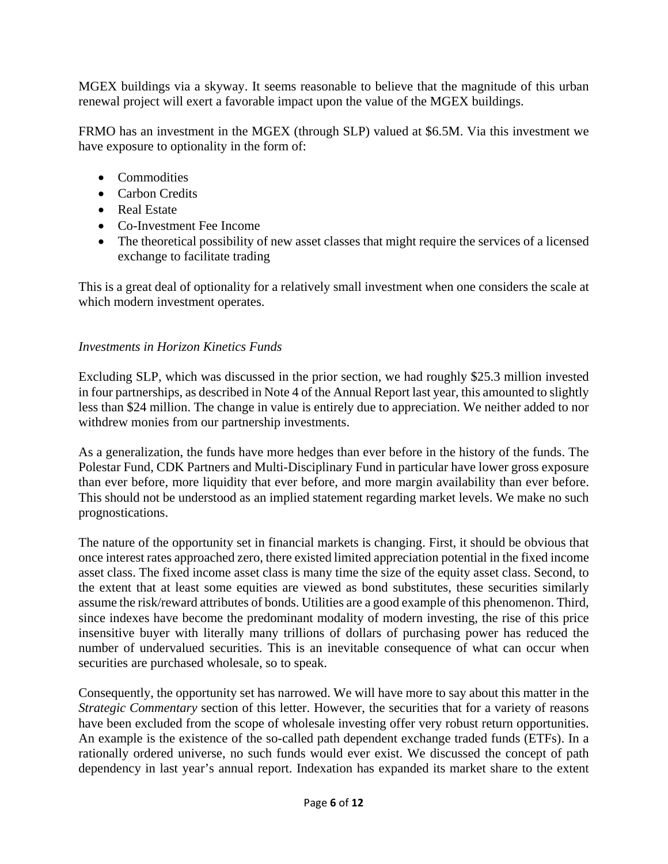MGEX buildings via a skyway. It seems reasonable to believe that the magnitude of this urban renewal project will exert a favorable impact upon the value of the MGEX buildings.

FRMO has an investment in the MGEX (through SLP) valued at \$6.5M. Via this investment we have exposure to optionality in the form of:

- Commodities
- Carbon Credits
- Real Estate
- Co-Investment Fee Income
- The theoretical possibility of new asset classes that might require the services of a licensed exchange to facilitate trading

This is a great deal of optionality for a relatively small investment when one considers the scale at which modern investment operates.

#### *Investments in Horizon Kinetics Funds*

Excluding SLP, which was discussed in the prior section, we had roughly \$25.3 million invested in four partnerships, as described in Note 4 of the Annual Report last year, this amounted to slightly less than \$24 million. The change in value is entirely due to appreciation. We neither added to nor withdrew monies from our partnership investments.

As a generalization, the funds have more hedges than ever before in the history of the funds. The Polestar Fund, CDK Partners and Multi-Disciplinary Fund in particular have lower gross exposure than ever before, more liquidity that ever before, and more margin availability than ever before. This should not be understood as an implied statement regarding market levels. We make no such prognostications.

The nature of the opportunity set in financial markets is changing. First, it should be obvious that once interest rates approached zero, there existed limited appreciation potential in the fixed income asset class. The fixed income asset class is many time the size of the equity asset class. Second, to the extent that at least some equities are viewed as bond substitutes, these securities similarly assume the risk/reward attributes of bonds. Utilities are a good example of this phenomenon. Third, since indexes have become the predominant modality of modern investing, the rise of this price insensitive buyer with literally many trillions of dollars of purchasing power has reduced the number of undervalued securities. This is an inevitable consequence of what can occur when securities are purchased wholesale, so to speak.

Consequently, the opportunity set has narrowed. We will have more to say about this matter in the *Strategic Commentary* section of this letter. However, the securities that for a variety of reasons have been excluded from the scope of wholesale investing offer very robust return opportunities. An example is the existence of the so-called path dependent exchange traded funds (ETFs). In a rationally ordered universe, no such funds would ever exist. We discussed the concept of path dependency in last year's annual report. Indexation has expanded its market share to the extent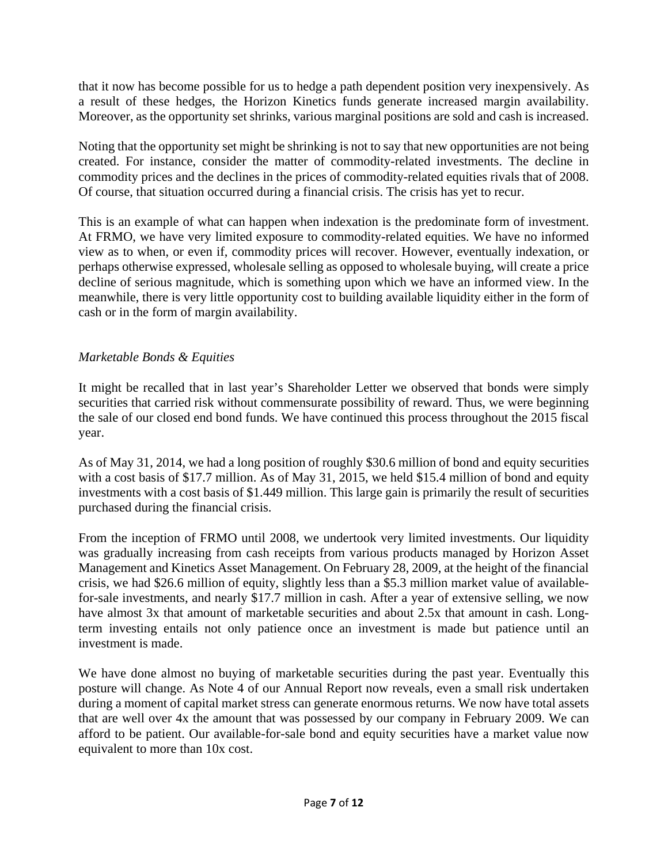that it now has become possible for us to hedge a path dependent position very inexpensively. As a result of these hedges, the Horizon Kinetics funds generate increased margin availability. Moreover, as the opportunity set shrinks, various marginal positions are sold and cash is increased.

Noting that the opportunity set might be shrinking is not to say that new opportunities are not being created. For instance, consider the matter of commodity-related investments. The decline in commodity prices and the declines in the prices of commodity-related equities rivals that of 2008. Of course, that situation occurred during a financial crisis. The crisis has yet to recur.

This is an example of what can happen when indexation is the predominate form of investment. At FRMO, we have very limited exposure to commodity-related equities. We have no informed view as to when, or even if, commodity prices will recover. However, eventually indexation, or perhaps otherwise expressed, wholesale selling as opposed to wholesale buying, will create a price decline of serious magnitude, which is something upon which we have an informed view. In the meanwhile, there is very little opportunity cost to building available liquidity either in the form of cash or in the form of margin availability.

## *Marketable Bonds & Equities*

It might be recalled that in last year's Shareholder Letter we observed that bonds were simply securities that carried risk without commensurate possibility of reward. Thus, we were beginning the sale of our closed end bond funds. We have continued this process throughout the 2015 fiscal year.

As of May 31, 2014, we had a long position of roughly \$30.6 million of bond and equity securities with a cost basis of \$17.7 million. As of May 31, 2015, we held \$15.4 million of bond and equity investments with a cost basis of \$1.449 million. This large gain is primarily the result of securities purchased during the financial crisis.

From the inception of FRMO until 2008, we undertook very limited investments. Our liquidity was gradually increasing from cash receipts from various products managed by Horizon Asset Management and Kinetics Asset Management. On February 28, 2009, at the height of the financial crisis, we had \$26.6 million of equity, slightly less than a \$5.3 million market value of availablefor-sale investments, and nearly \$17.7 million in cash. After a year of extensive selling, we now have almost 3x that amount of marketable securities and about 2.5x that amount in cash. Longterm investing entails not only patience once an investment is made but patience until an investment is made.

We have done almost no buying of marketable securities during the past year. Eventually this posture will change. As Note 4 of our Annual Report now reveals, even a small risk undertaken during a moment of capital market stress can generate enormous returns. We now have total assets that are well over 4x the amount that was possessed by our company in February 2009. We can afford to be patient. Our available-for-sale bond and equity securities have a market value now equivalent to more than 10x cost.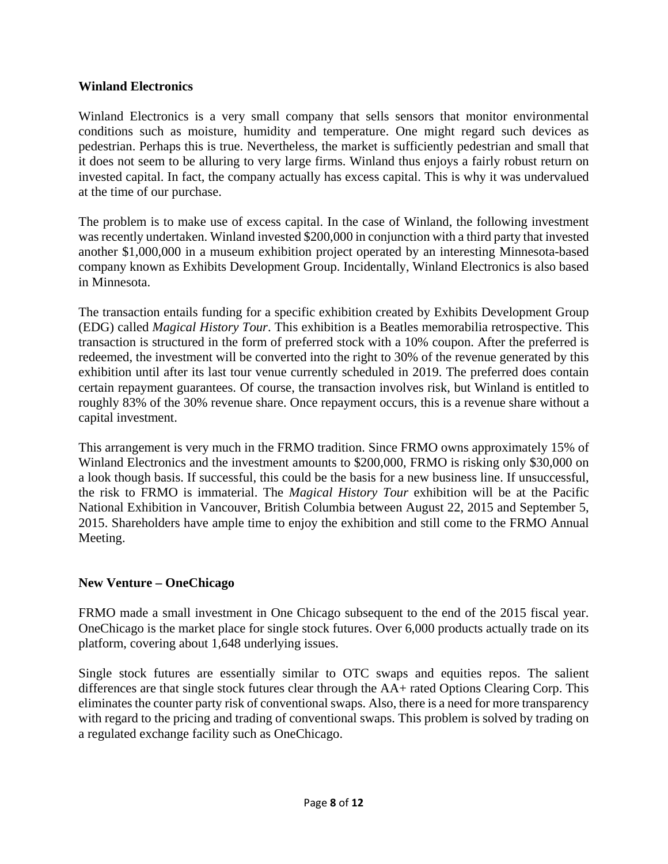## **Winland Electronics**

Winland Electronics is a very small company that sells sensors that monitor environmental conditions such as moisture, humidity and temperature. One might regard such devices as pedestrian. Perhaps this is true. Nevertheless, the market is sufficiently pedestrian and small that it does not seem to be alluring to very large firms. Winland thus enjoys a fairly robust return on invested capital. In fact, the company actually has excess capital. This is why it was undervalued at the time of our purchase.

The problem is to make use of excess capital. In the case of Winland, the following investment was recently undertaken. Winland invested \$200,000 in conjunction with a third party that invested another \$1,000,000 in a museum exhibition project operated by an interesting Minnesota-based company known as Exhibits Development Group. Incidentally, Winland Electronics is also based in Minnesota.

The transaction entails funding for a specific exhibition created by Exhibits Development Group (EDG) called *Magical History Tour*. This exhibition is a Beatles memorabilia retrospective. This transaction is structured in the form of preferred stock with a 10% coupon. After the preferred is redeemed, the investment will be converted into the right to 30% of the revenue generated by this exhibition until after its last tour venue currently scheduled in 2019. The preferred does contain certain repayment guarantees. Of course, the transaction involves risk, but Winland is entitled to roughly 83% of the 30% revenue share. Once repayment occurs, this is a revenue share without a capital investment.

This arrangement is very much in the FRMO tradition. Since FRMO owns approximately 15% of Winland Electronics and the investment amounts to \$200,000, FRMO is risking only \$30,000 on a look though basis. If successful, this could be the basis for a new business line. If unsuccessful, the risk to FRMO is immaterial. The *Magical History Tour* exhibition will be at the Pacific National Exhibition in Vancouver, British Columbia between August 22, 2015 and September 5, 2015. Shareholders have ample time to enjoy the exhibition and still come to the FRMO Annual Meeting.

## **New Venture – OneChicago**

FRMO made a small investment in One Chicago subsequent to the end of the 2015 fiscal year. OneChicago is the market place for single stock futures. Over 6,000 products actually trade on its platform, covering about 1,648 underlying issues.

Single stock futures are essentially similar to OTC swaps and equities repos. The salient differences are that single stock futures clear through the AA+ rated Options Clearing Corp. This eliminates the counter party risk of conventional swaps. Also, there is a need for more transparency with regard to the pricing and trading of conventional swaps. This problem is solved by trading on a regulated exchange facility such as OneChicago.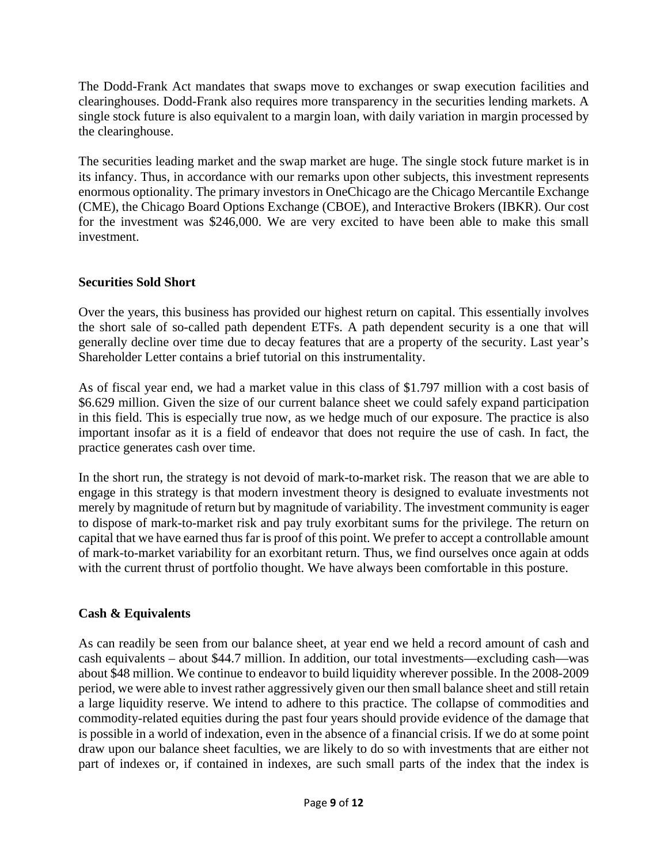The Dodd-Frank Act mandates that swaps move to exchanges or swap execution facilities and clearinghouses. Dodd-Frank also requires more transparency in the securities lending markets. A single stock future is also equivalent to a margin loan, with daily variation in margin processed by the clearinghouse.

The securities leading market and the swap market are huge. The single stock future market is in its infancy. Thus, in accordance with our remarks upon other subjects, this investment represents enormous optionality. The primary investors in OneChicago are the Chicago Mercantile Exchange (CME), the Chicago Board Options Exchange (CBOE), and Interactive Brokers (IBKR). Our cost for the investment was \$246,000. We are very excited to have been able to make this small investment.

## **Securities Sold Short**

Over the years, this business has provided our highest return on capital. This essentially involves the short sale of so-called path dependent ETFs. A path dependent security is a one that will generally decline over time due to decay features that are a property of the security. Last year's Shareholder Letter contains a brief tutorial on this instrumentality.

As of fiscal year end, we had a market value in this class of \$1.797 million with a cost basis of \$6.629 million. Given the size of our current balance sheet we could safely expand participation in this field. This is especially true now, as we hedge much of our exposure. The practice is also important insofar as it is a field of endeavor that does not require the use of cash. In fact, the practice generates cash over time.

In the short run, the strategy is not devoid of mark-to-market risk. The reason that we are able to engage in this strategy is that modern investment theory is designed to evaluate investments not merely by magnitude of return but by magnitude of variability. The investment community is eager to dispose of mark-to-market risk and pay truly exorbitant sums for the privilege. The return on capital that we have earned thus far is proof of this point. We prefer to accept a controllable amount of mark-to-market variability for an exorbitant return. Thus, we find ourselves once again at odds with the current thrust of portfolio thought. We have always been comfortable in this posture.

## **Cash & Equivalents**

As can readily be seen from our balance sheet, at year end we held a record amount of cash and cash equivalents – about \$44.7 million. In addition, our total investments—excluding cash—was about \$48 million. We continue to endeavor to build liquidity wherever possible. In the 2008-2009 period, we were able to invest rather aggressively given our then small balance sheet and still retain a large liquidity reserve. We intend to adhere to this practice. The collapse of commodities and commodity-related equities during the past four years should provide evidence of the damage that is possible in a world of indexation, even in the absence of a financial crisis. If we do at some point draw upon our balance sheet faculties, we are likely to do so with investments that are either not part of indexes or, if contained in indexes, are such small parts of the index that the index is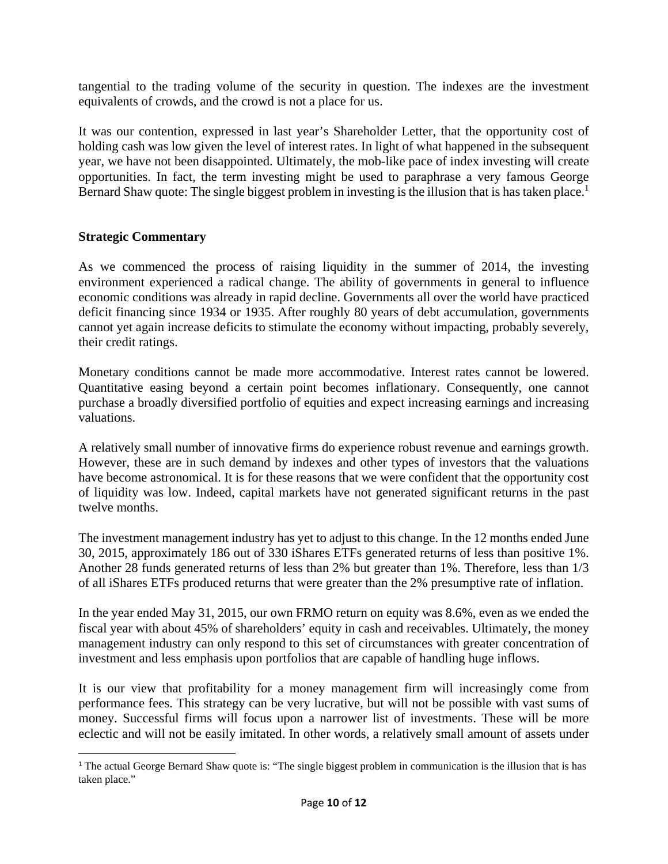tangential to the trading volume of the security in question. The indexes are the investment equivalents of crowds, and the crowd is not a place for us.

It was our contention, expressed in last year's Shareholder Letter, that the opportunity cost of holding cash was low given the level of interest rates. In light of what happened in the subsequent year, we have not been disappointed. Ultimately, the mob-like pace of index investing will create opportunities. In fact, the term investing might be used to paraphrase a very famous George Bernard Shaw quote: The single biggest problem in investing is the illusion that is has taken place.<sup>1</sup>

#### **Strategic Commentary**

As we commenced the process of raising liquidity in the summer of 2014, the investing environment experienced a radical change. The ability of governments in general to influence economic conditions was already in rapid decline. Governments all over the world have practiced deficit financing since 1934 or 1935. After roughly 80 years of debt accumulation, governments cannot yet again increase deficits to stimulate the economy without impacting, probably severely, their credit ratings.

Monetary conditions cannot be made more accommodative. Interest rates cannot be lowered. Quantitative easing beyond a certain point becomes inflationary. Consequently, one cannot purchase a broadly diversified portfolio of equities and expect increasing earnings and increasing valuations.

A relatively small number of innovative firms do experience robust revenue and earnings growth. However, these are in such demand by indexes and other types of investors that the valuations have become astronomical. It is for these reasons that we were confident that the opportunity cost of liquidity was low. Indeed, capital markets have not generated significant returns in the past twelve months.

The investment management industry has yet to adjust to this change. In the 12 months ended June 30, 2015, approximately 186 out of 330 iShares ETFs generated returns of less than positive 1%. Another 28 funds generated returns of less than 2% but greater than 1%. Therefore, less than 1/3 of all iShares ETFs produced returns that were greater than the 2% presumptive rate of inflation.

In the year ended May 31, 2015, our own FRMO return on equity was 8.6%, even as we ended the fiscal year with about 45% of shareholders' equity in cash and receivables. Ultimately, the money management industry can only respond to this set of circumstances with greater concentration of investment and less emphasis upon portfolios that are capable of handling huge inflows.

It is our view that profitability for a money management firm will increasingly come from performance fees. This strategy can be very lucrative, but will not be possible with vast sums of money. Successful firms will focus upon a narrower list of investments. These will be more eclectic and will not be easily imitated. In other words, a relatively small amount of assets under

<sup>&</sup>lt;sup>1</sup> The actual George Bernard Shaw quote is: "The single biggest problem in communication is the illusion that is has taken place."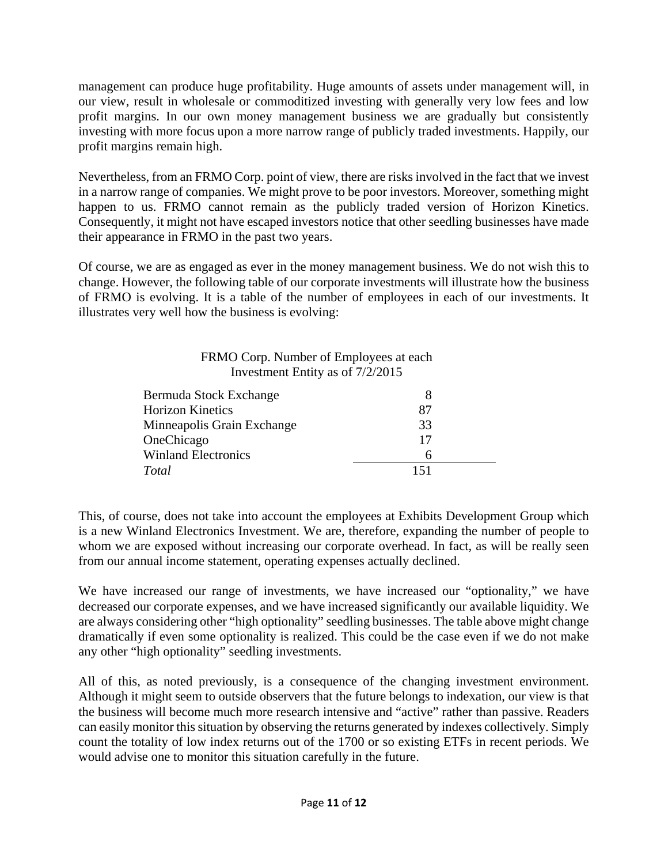management can produce huge profitability. Huge amounts of assets under management will, in our view, result in wholesale or commoditized investing with generally very low fees and low profit margins. In our own money management business we are gradually but consistently investing with more focus upon a more narrow range of publicly traded investments. Happily, our profit margins remain high.

Nevertheless, from an FRMO Corp. point of view, there are risks involved in the fact that we invest in a narrow range of companies. We might prove to be poor investors. Moreover, something might happen to us. FRMO cannot remain as the publicly traded version of Horizon Kinetics. Consequently, it might not have escaped investors notice that other seedling businesses have made their appearance in FRMO in the past two years.

Of course, we are as engaged as ever in the money management business. We do not wish this to change. However, the following table of our corporate investments will illustrate how the business of FRMO is evolving. It is a table of the number of employees in each of our investments. It illustrates very well how the business is evolving:

| FRMO Corp. Number of Employees at each |
|----------------------------------------|
| Investment Entity as of $7/2/2015$     |

| Bermuda Stock Exchange     | X   |
|----------------------------|-----|
| <b>Horizon Kinetics</b>    | 87  |
| Minneapolis Grain Exchange | 33  |
| OneChicago                 | 17  |
| <b>Winland Electronics</b> | h   |
| Total                      | 151 |

This, of course, does not take into account the employees at Exhibits Development Group which is a new Winland Electronics Investment. We are, therefore, expanding the number of people to whom we are exposed without increasing our corporate overhead. In fact, as will be really seen from our annual income statement, operating expenses actually declined.

We have increased our range of investments, we have increased our "optionality," we have decreased our corporate expenses, and we have increased significantly our available liquidity. We are always considering other "high optionality" seedling businesses. The table above might change dramatically if even some optionality is realized. This could be the case even if we do not make any other "high optionality" seedling investments.

All of this, as noted previously, is a consequence of the changing investment environment. Although it might seem to outside observers that the future belongs to indexation, our view is that the business will become much more research intensive and "active" rather than passive. Readers can easily monitor this situation by observing the returns generated by indexes collectively. Simply count the totality of low index returns out of the 1700 or so existing ETFs in recent periods. We would advise one to monitor this situation carefully in the future.